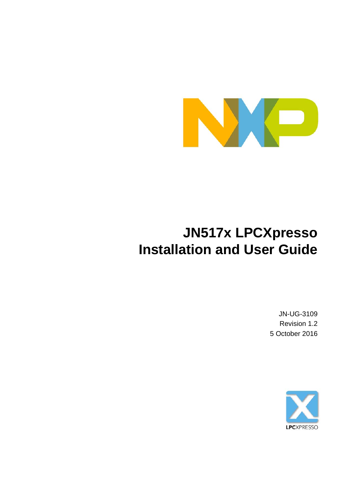

# **JN517x LPCXpresso Installation and User Guide**

JN-UG-3109 Revision 1.2 5 October 2016

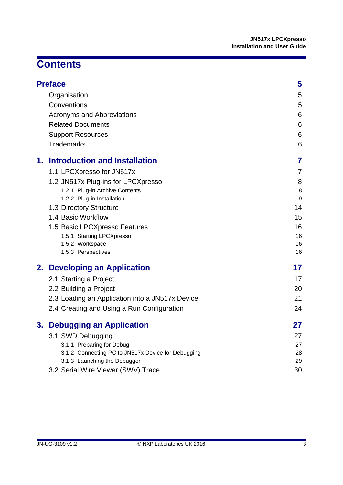# **Contents**

|    | <b>Preface</b>                                     | 5              |
|----|----------------------------------------------------|----------------|
|    | Organisation                                       | 5              |
|    | Conventions                                        | 5              |
|    | <b>Acronyms and Abbreviations</b>                  | 6              |
|    | <b>Related Documents</b>                           | 6              |
|    | <b>Support Resources</b>                           | 6              |
|    | <b>Trademarks</b>                                  | 6              |
| 1. | <b>Introduction and Installation</b>               | 7              |
|    | 1.1 LPCXpresso for JN517x                          | $\overline{7}$ |
|    | 1.2 JN517x Plug-ins for LPCXpresso                 | 8              |
|    | 1.2.1 Plug-in Archive Contents                     | 8              |
|    | 1.2.2 Plug-in Installation                         | 9              |
|    | 1.3 Directory Structure                            | 14             |
|    | 1.4 Basic Workflow                                 | 15             |
|    | 1.5 Basic LPCXpresso Features                      | 16             |
|    | 1.5.1 Starting LPCXpresso                          | 16             |
|    | 1.5.2 Workspace                                    | 16             |
|    | 1.5.3 Perspectives                                 | 16             |
|    | 2. Developing an Application                       | 17             |
|    | 2.1 Starting a Project                             | 17             |
|    | 2.2 Building a Project                             | 20             |
|    | 2.3 Loading an Application into a JN517x Device    | 21             |
|    | 2.4 Creating and Using a Run Configuration         | 24             |
|    | 3. Debugging an Application                        | 27             |
|    | 3.1 SWD Debugging                                  | 27             |
|    | 3.1.1 Preparing for Debug                          | 27             |
|    | 3.1.2 Connecting PC to JN517x Device for Debugging | 28             |
|    | 3.1.3 Launching the Debugger                       | 29             |
|    | 3.2 Serial Wire Viewer (SWV) Trace                 | 30             |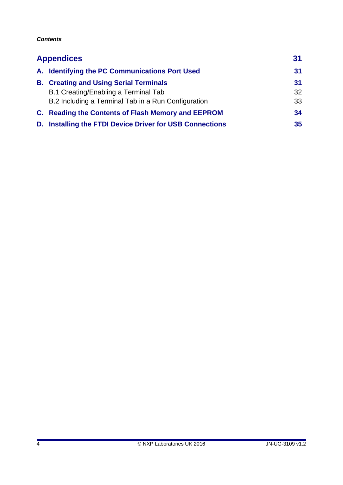| <b>Appendices</b>                                        | 31 |
|----------------------------------------------------------|----|
| A. Identifying the PC Communications Port Used           | 31 |
| <b>B. Creating and Using Serial Terminals</b>            | 31 |
| <b>B.1 Creating/Enabling a Terminal Tab</b>              | 32 |
| B.2 Including a Terminal Tab in a Run Configuration      | 33 |
| C. Reading the Contents of Flash Memory and EEPROM       | 34 |
| D. Installing the FTDI Device Driver for USB Connections | 35 |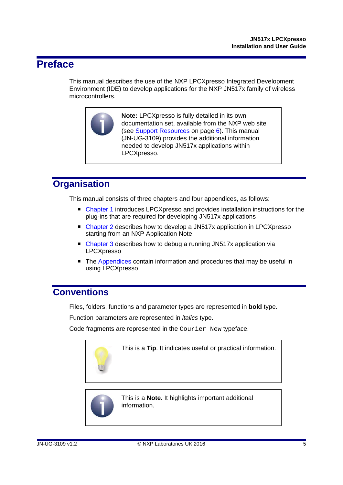# <span id="page-4-0"></span>**Preface**

This manual describes the use of the NXP LPCXpresso Integrated Development Environment (IDE) to develop applications for the NXP JN517x family of wireless microcontrollers.



**Note:** LPCXpresso is fully detailed in its own documentation set, available from the NXP web site (see [Support Resources](#page-5-2) on page [6](#page-5-2)). This manual (JN-UG-3109) provides the additional information needed to develop JN517x applications within LPCXpresso.

# <span id="page-4-1"></span>**Organisation**

This manual consists of three chapters and four appendices, as follows:

- [Chapter 1](#page-6-2) introduces LPCXpresso and provides installation instructions for the plug-ins that are required for developing JN517x applications
- Chapter 2 describes how to develop a JN517x application in LPCXpresso starting from an NXP Application Note
- [Chapter 3](#page-26-3) describes how to debug a running JN517x application via LPCXpresso
- The [Appendices](#page-30-3) contain information and procedures that may be useful in using LPCXpresso

# <span id="page-4-2"></span>**Conventions**

Files, folders, functions and parameter types are represented in **bold** type.

Function parameters are represented in *italics* type.

Code fragments are represented in the Courier New typeface.





This is a **Note**. It highlights important additional information.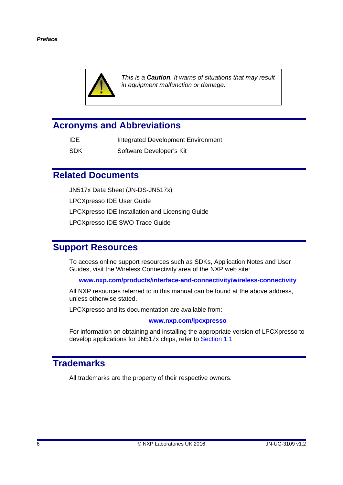

*This is a Caution. It warns of situations that may result in equipment malfunction or damage.*

# <span id="page-5-0"></span>**Acronyms and Abbreviations**

IDE Integrated Development Environment

SDK Software Developer's Kit

### <span id="page-5-1"></span>**Related Documents**

JN517x Data Sheet (JN-DS-JN517x)

LPCXpresso IDE User Guide

LPCXpresso IDE Installation and Licensing Guide

LPCXpresso IDE SWO Trace Guide

### <span id="page-5-4"></span><span id="page-5-2"></span>**Support Resources**

To access online support resources such as SDKs, Application Notes and User Guides, visit the Wireless Connectivity area of the NXP web site:

**www.nxp.com/products/interface-and-connectivity/wireless-connectivity**

All NXP resources referred to in this manual can be found at the above address, unless otherwise stated.

LPCXpresso and its documentation are available from:

#### **www.nxp.com/lpcxpresso**

For information on obtaining and installing the appropriate version of LPCXpresso to develop applications for JN517x chips, refer to [Section 1.1](#page-6-3)

# <span id="page-5-3"></span>**Trademarks**

All trademarks are the property of their respective owners.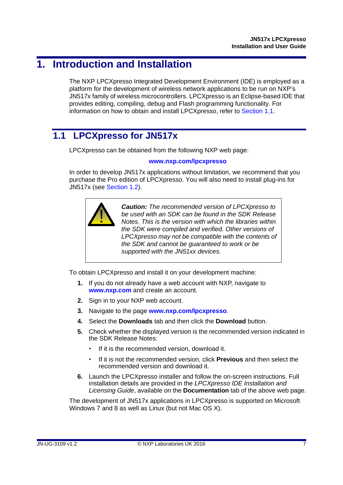# <span id="page-6-2"></span><span id="page-6-0"></span>**1. Introduction and Installation**

The NXP LPCXpresso Integrated Development Environment (IDE) is employed as a platform for the development of wireless network applications to be run on NXP's JN517x family of wireless microcontrollers. LPCXpresso is an Eclipse-based IDE that provides editing, compiling, debug and Flash programming functionality. For information on how to obtain and install LPCXpresso, refer to [Section 1.1](#page-6-1).

# <span id="page-6-3"></span><span id="page-6-1"></span>**1.1 LPCXpresso for JN517x**

LPCXpresso can be obtained from the following NXP web page:

#### **www.nxp.com/lpcxpresso**

In order to develop JN517x applications without limitation, we recommend that you purchase the Pro edition of LPCXpresso. You will also need to install plug-ins for JN517x (see [Section 1.2](#page-7-0)).



*Caution: The recommended version of LPCXpresso to be used with an SDK can be found in the SDK Release Notes. This is the version with which the libraries within the SDK were compiled and verified. Other versions of LPCXpresso may not be compatible with the contents of the SDK and cannot be guaranteed to work or be supported with the JN51xx devices.*

To obtain LPCXpresso and install it on your development machine:

- **1.** If you do not already have a web account with NXP, navigate to **www.nxp.com** and create an account.
- **2.** Sign in to your NXP web account.
- **3.** Navigate to the page **www.nxp.com/lpcxpresso**.
- **4.** Select the **Downloads** tab and then click the **Download** button.
- **5.** Check whether the displayed version is the recommended version indicated in the SDK Release Notes:
	- If it is the recommended version, download it.
	- If it is not the recommended version, click **Previous** and then select the recommended version and download it.
- **6.** Launch the LPCXpresso installer and follow the on-screen instructions. Full installation details are provided in the *LPCXpresso IDE Installation and Licensing Guide*, available on the **Documentation** tab of the above web page.

The development of JN517x applications in LPCXpresso is supported on Microsoft Windows 7 and 8 as well as Linux (but not Mac OS X).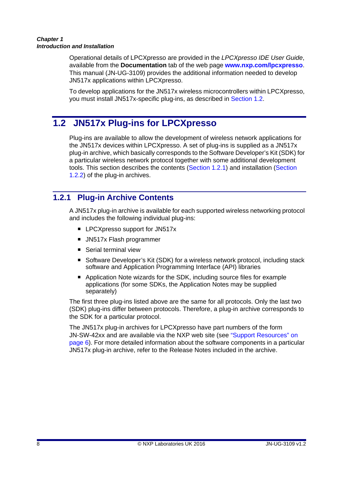Operational details of LPCXpresso are provided in the *LPCXpresso IDE User Guide*, available from the **Documentation** tab of the web page **www.nxp.com/lpcxpresso**. This manual (JN-UG-3109) provides the additional information needed to develop JN517x applications within LPCXpresso.

To develop applications for the JN517x wireless microcontrollers within LPCXpresso, you must install JN517x-specific plug-ins, as described in [Section 1.2](#page-7-0).

# <span id="page-7-0"></span>**1.2 JN517x Plug-ins for LPCXpresso**

Plug-ins are available to allow the development of wireless network applications for the JN517x devices within LPCXpresso. A set of plug-ins is supplied as a JN517x plug-in archive, which basically corresponds to the Software Developer's Kit (SDK) for a particular wireless network protocol together with some additional development tools. This section describes the contents ([Section 1.2.1](#page-7-1)) and installation ([Section](#page-8-0)  [1.2.2\)](#page-8-0) of the plug-in archives.

### <span id="page-7-1"></span>**1.2.1 Plug-in Archive Contents**

A JN517x plug-in archive is available for each supported wireless networking protocol and includes the following individual plug-ins:

- LPCXpresso support for JN517x
- JN517x Flash programmer
- Serial terminal view
- Software Developer's Kit (SDK) for a wireless network protocol, including stack software and Application Programming Interface (API) libraries
- Application Note wizards for the SDK, including source files for example applications (for some SDKs, the Application Notes may be supplied separately)

The first three plug-ins listed above are the same for all protocols. Only the last two (SDK) plug-ins differ between protocols. Therefore, a plug-in archive corresponds to the SDK for a particular protocol.

The JN517x plug-in archives for LPCXpresso have part numbers of the form JN-SW-42xx and are available via the NXP web site (see ["Support Resources" on](#page-5-4)  [page](#page-5-4) 6). For more detailed information about the software components in a particular JN517x plug-in archive, refer to the Release Notes included in the archive.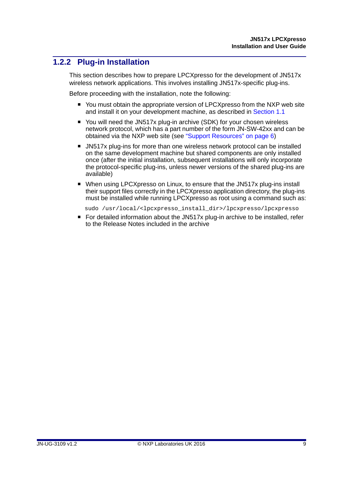### <span id="page-8-0"></span>**1.2.2 Plug-in Installation**

<span id="page-8-1"></span>This section describes how to prepare LPCXpresso for the development of JN517x wireless network applications. This involves installing JN517x-specific plug-ins.

Before proceeding with the installation, note the following:

- You must obtain the appropriate version of LPCXpresso from the NXP web site and install it on your development machine, as described in [Section 1.1](#page-6-1)
- You will need the JN517x plug-in archive (SDK) for your chosen wireless network protocol, which has a part number of the form JN-SW-42xx and can be obtained via the NXP web site (see ["Support Resources" on page](#page-5-4) 6)
- JN517x plug-ins for more than one wireless network protocol can be installed on the same development machine but shared components are only installed once (after the initial installation, subsequent installations will only incorporate the protocol-specific plug-ins, unless newer versions of the shared plug-ins are available)
- When using LPCXpresso on Linux, to ensure that the JN517x plug-ins install their support files correctly in the LPCXpresso application directory, the plug-ins must be installed while running LPCXpresso as root using a command such as:

sudo /usr/local/<lpcxpresso\_install\_dir>/lpcxpresso/lpcxpresso

■ For detailed information about the JN517x plug-in archive to be installed, refer to the Release Notes included in the archive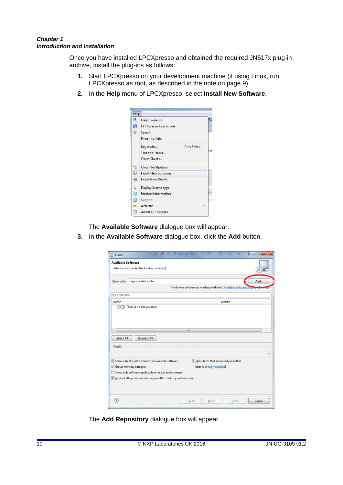Once you have installed LPCXpresso and obtained the required JN517x plug-in archive, install the plug-ins as follows:

- **1.** Start LPCXpresso on your development machine (if using Linux, run LPCXpresso as root, as described in the note on page [9](#page-8-0)).
- **2.** In the **Help** menu of LPCXpresso, select **Install New Software**.



The **Available Software** dialogue box will appear.

**3.** In the **Available Software** dialogue box, click the **Add** button.

| Add<br>Find more software by working with the "Available Software Sites"<br>Version |
|-------------------------------------------------------------------------------------|
|                                                                                     |
|                                                                                     |
|                                                                                     |
|                                                                                     |
|                                                                                     |
|                                                                                     |
| Hide items that are already installed                                               |
| What is already installed?                                                          |
|                                                                                     |
|                                                                                     |
|                                                                                     |

The **Add Repository** dialogue box will appear.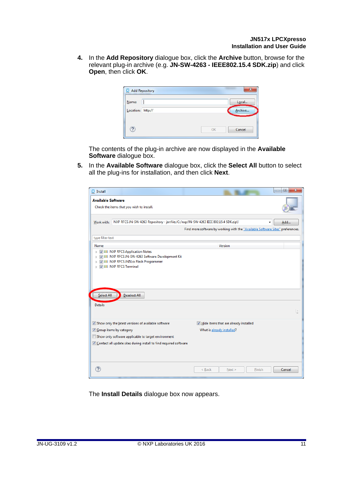**4.** In the **Add Repository** dialogue box, click the **Archive** button, browse for the relevant plug-in archive (e.g. **JN-SW-4263 - IEEE802.15.4 SDK.zip**) and click **Open**, then click **OK**.

| Add Repository    |    |         |
|-------------------|----|---------|
| Name:             |    | Local   |
| Location: http:// |    | Archive |
|                   |    |         |
|                   | OK | Cancel  |

The contents of the plug-in archive are now displayed in the **Available Software** dialogue box.

**5.** In the **Available Software** dialogue box, click the **Select All** button to select all the plug-ins for installation, and then click **Next**.

| X Install                                                                                                                                                                                     |                                                                                | $\Box$<br>$\mathbf{x}$<br>$\overline{a}$ |
|-----------------------------------------------------------------------------------------------------------------------------------------------------------------------------------------------|--------------------------------------------------------------------------------|------------------------------------------|
| <b>Available Software</b><br>Check the items that you wish to install.                                                                                                                        |                                                                                |                                          |
| NXP RFCS JN-SW-4263 Repository - jar:file:/C:/nxp/JN-SW-4263 IEEE 802.15.4 SDK.zip!/<br>Work with:                                                                                            | Find more software by working with the "Available Software Sites" preferences. | Add                                      |
| type filter text                                                                                                                                                                              |                                                                                |                                          |
| Name                                                                                                                                                                                          | Version                                                                        |                                          |
| <b>V 000 NXP RFCS Application Notes</b><br>Þ<br>V 000 NXP RFCS JN-SW-4263 Software Development Kit<br>Þ<br>7 000 NXP RFCS JN51xx Flash Programmer<br>ь<br><b>V 000 NXP RFCS Terminal</b><br>ь |                                                                                |                                          |
| Select All<br><b>Deselect All</b><br><b>Details</b>                                                                                                                                           |                                                                                |                                          |
| Show only the latest versions of available software                                                                                                                                           | Hide items that are already installed                                          |                                          |
| Group items by category                                                                                                                                                                       | What is already installed?                                                     |                                          |
| Show only software applicable to target environment                                                                                                                                           |                                                                                |                                          |
| Contact all update sites during install to find required software                                                                                                                             |                                                                                |                                          |
| $^\mathrm{\textregistered}$                                                                                                                                                                   | < Back<br>Finish<br>Next >                                                     | Cancel                                   |

The **Install Details** dialogue box now appears.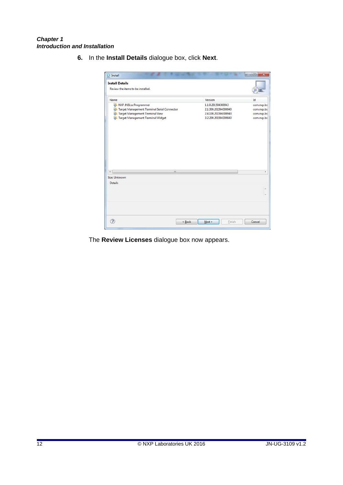**6.** In the **Install Details** dialogue box, click **Next**.

| <b>Install Details</b>                                               |               |                                              |                          |
|----------------------------------------------------------------------|---------------|----------------------------------------------|--------------------------|
| Review the items to be installed.                                    |               |                                              |                          |
| Name                                                                 |               | Version                                      | Id                       |
| NXP JN51xx Programmer                                                |               | 1.1.0.201504300943                           | com.nxp.bs               |
| Target Management Terminal Serial Connector                          |               | 2.1.300.201504300943                         | com.nxp.bs               |
| Target Management Terminal View<br>Target Management Terminal Widget |               | 2.4.100.201504300943<br>3.2.200.201504300943 | com.nxp.bs<br>com.nxp.bs |
|                                                                      |               |                                              |                          |
|                                                                      |               |                                              |                          |
|                                                                      | $^{\rm{III}}$ |                                              | r                        |
|                                                                      |               |                                              |                          |
| $\epsilon$<br>Size: Unknown<br>Details                               |               |                                              |                          |

The **Review Licenses** dialogue box now appears.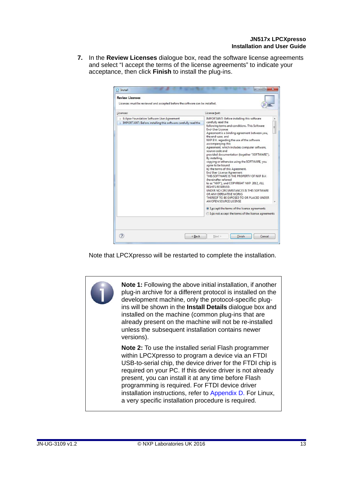**7.** In the **Review Licenses** dialogue box, read the software license agreements and select "I accept the terms of the license agreements" to indicate your acceptance, then click **Finish** to install the plug-ins.

| Licenses:                                                                                                         | License text:                                                                                                                                                                                                                                                                                                                                                                                                                                                                                                                                                                                                                                                                                                                                                                                                                                                                                                                                                           |
|-------------------------------------------------------------------------------------------------------------------|-------------------------------------------------------------------------------------------------------------------------------------------------------------------------------------------------------------------------------------------------------------------------------------------------------------------------------------------------------------------------------------------------------------------------------------------------------------------------------------------------------------------------------------------------------------------------------------------------------------------------------------------------------------------------------------------------------------------------------------------------------------------------------------------------------------------------------------------------------------------------------------------------------------------------------------------------------------------------|
| <b>Eclipse Foundation Software User Agreement</b><br>MPORTANT: Before installing this software carefully read the | IMPORTANT: Before installing this software<br>carefully read the<br>following terms and conditions. This Software<br>End-User License<br>Agreement is a binding agreement between you,<br>the end-user, and<br>NXP B.V. regarding the use of the software<br>accompanying this<br>Agreement, which includes computer software,<br>source code and<br>provided documentation (together "SOFTWARE").<br>By installing,<br>copying or otherwise using the SOFTWARE, you<br>agree to be bound<br>by the terms of this Agreement.<br><b>End User License Agreement</b><br>THIS SOFTWARE IS THE PROPERTY OF NXP B.V.<br>(hereinafter referred<br>to as "NXP"), and COPYRIGHT NXP 2012, ALL<br>RIGHTS RESERVED.<br>UNDER NO CIRCUMSTANCES IS THIS SOFTWARE<br>OR ANY DERIVATIVE WORKS<br>THEREOF TO BE EXPOSED TO OR PLACED UNDER<br>AN OPEN SOURCE LICENSE<br><sup>o</sup> I accept the terms of the license agreements<br>igo not accept the terms of the license agreements |

Note that LPCXpresso will be restarted to complete the installation.

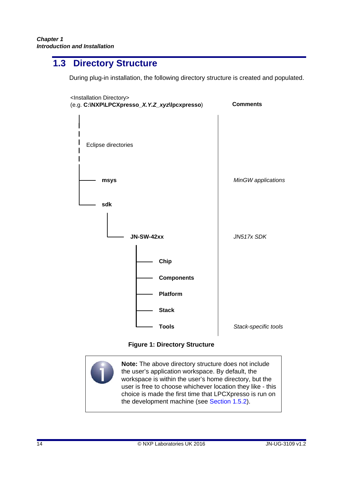# <span id="page-13-0"></span>**1.3 Directory Structure**

During plug-in installation, the following directory structure is created and populated.



**Figure 1: Directory Structure**

**Note:** The above directory structure does not include the user's application workspace. By default, the workspace is within the user's home directory, but the user is free to choose whichever location they like - this choice is made the first time that LPCXpresso is run on the development machine (see [Section 1.5.2](#page-15-2)).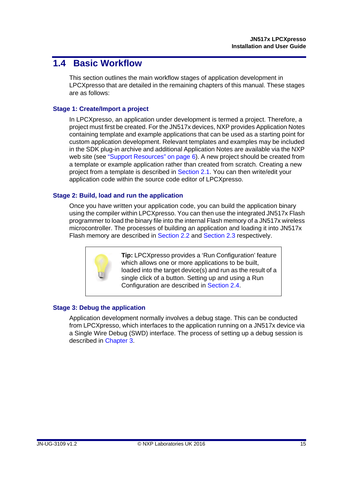### <span id="page-14-0"></span>**1.4 Basic Workflow**

This section outlines the main workflow stages of application development in LPCXpresso that are detailed in the remaining chapters of this manual. These stages are as follows:

#### **Stage 1: Create/Import a project**

In LPCXpresso, an application under development is termed a project. Therefore, a project must first be created. For the JN517x devices, NXP provides Application Notes containing template and example applications that can be used as a starting point for custom application development. Relevant templates and examples may be included in the SDK plug-in archive and additional Application Notes are available via the NXP web site (see ["Support Resources" on page](#page-5-4) 6). A new project should be created from a template or example application rather than created from scratch. Creating a new project from a template is described in [Section 2.1.](#page-16-2) You can then write/edit your application code within the source code editor of LPCXpresso.

#### **Stage 2: Build, load and run the application**

Once you have written your application code, you can build the application binary using the compiler within LPCXpresso. You can then use the integrated JN517x Flash programmer to load the binary file into the internal Flash memory of a JN517x wireless microcontroller. The processes of building an application and loading it into JN517x Flash memory are described in [Section 2.2](#page-19-1) and [Section 2.3](#page-20-1) respectively.



**Tip:** LPCXpresso provides a 'Run Configuration' feature which allows one or more applications to be built, loaded into the target device(s) and run as the result of a single click of a button. Setting up and using a Run Configuration are described in [Section 2.4](#page-23-1).

#### **Stage 3: Debug the application**

Application development normally involves a debug stage. This can be conducted from LPCXpresso, which interfaces to the application running on a JN517x device via a Single Wire Debug (SWD) interface. The process of setting up a debug session is described in [Chapter 3.](#page-26-3)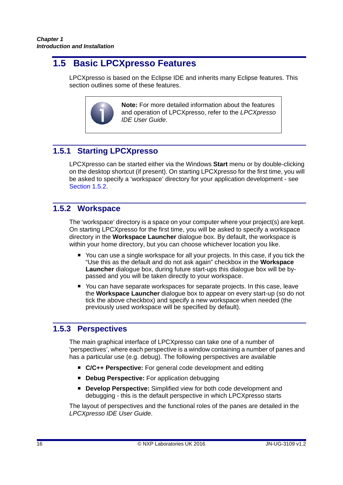# <span id="page-15-0"></span>**1.5 Basic LPCXpresso Features**

LPCXpresso is based on the Eclipse IDE and inherits many Eclipse features. This section outlines some of these features.



**Note:** For more detailed information about the features and operation of LPCXpresso, refer to the *LPCXpresso IDE User Guide*.

### <span id="page-15-1"></span>**1.5.1 Starting LPCXpresso**

LPCXpresso can be started either via the Windows **Start** menu or by double-clicking on the desktop shortcut (if present). On starting LPCXpresso for the first time, you will be asked to specify a 'workspace' directory for your application development - see [Section 1.5.2](#page-15-2).

### <span id="page-15-2"></span>**1.5.2 Workspace**

The 'workspace' directory is a space on your computer where your project(s) are kept. On starting LPCXpresso for the first time, you will be asked to specify a workspace directory in the **Workspace Launcher** dialogue box. By default, the workspace is within your home directory, but you can choose whichever location you like.

- You can use a single workspace for all your projects. In this case, if you tick the "Use this as the default and do not ask again" checkbox in the **Workspace Launcher** dialogue box, during future start-ups this dialogue box will be bypassed and you will be taken directly to your workspace.
- You can have separate workspaces for separate projects. In this case, leave the **Workspace Launcher** dialogue box to appear on every start-up (so do not tick the above checkbox) and specify a new workspace when needed (the previously used workspace will be specified by default).

### <span id="page-15-3"></span>**1.5.3 Perspectives**

The main graphical interface of LPCXpresso can take one of a number of 'perspectives', where each perspective is a window containing a number of panes and has a particular use (e.g. debug). The following perspectives are available

- C/C++ Perspective: For general code development and editing
- **Debug Perspective:** For application debugging
- **Develop Perspective:** Simplified view for both code development and debugging - this is the default perspective in which LPCXpresso starts

The layout of perspectives and the functional roles of the panes are detailed in the *LPCXpresso IDE User Guide*.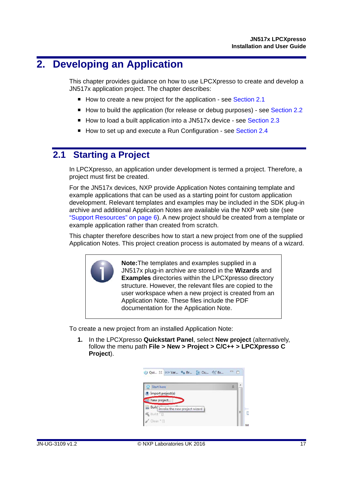# <span id="page-16-0"></span>**2. Developing an Application**

This chapter provides guidance on how to use LPCXpresso to create and develop a JN517x application project. The chapter describes:

- How to create a new project for the application see [Section 2.1](#page-16-1)
- How to build the application (for release or debug purposes) see [Section 2.2](#page-19-0)
- How to load a built application into a JN517x device see [Section 2.3](#page-20-0)
- <span id="page-16-2"></span>How to set up and execute a Run Configuration - see [Section 2.4](#page-23-0)

### <span id="page-16-1"></span>**2.1 Starting a Project**

In LPCXpresso, an application under development is termed a project. Therefore, a project must first be created.

For the JN517x devices, NXP provide Application Notes containing template and example applications that can be used as a starting point for custom application development. Relevant templates and examples may be included in the SDK plug-in archive and additional Application Notes are available via the NXP web site (see ["Support Resources" on page](#page-5-4) 6). A new project should be created from a template or example application rather than created from scratch.

This chapter therefore describes how to start a new project from one of the supplied Application Notes. This project creation process is automated by means of a wizard.

> **Note:**The templates and examples supplied in a JN517x plug-in archive are stored in the **Wizards** and **Examples** directories within the LPCXpresso directory structure. However, the relevant files are copied to the user workspace when a new project is created from an Application Note. These files include the PDF documentation for the Application Note.

To create a new project from an installed Application Note:

**1.** In the LPCXpresso **Quickstart Panel**, select **New project** (alternatively, follow the menu path **File > New > Project > C/C++ > LPCXpresso C Project**).

| <b>U</b> Qui ≥3 (x)= Var <sup>o</sup> Br<br>P <sub>E</sub> Ou | $60°$ Ex |
|---------------------------------------------------------------|----------|
| <b>Start here</b>                                             | 奕        |
| Import project(s)                                             |          |
| <b>The New project</b>                                        |          |
| <b>Build</b> Invoke the new project wizard                    |          |
| Buid''                                                        | E        |
| Clean " []                                                    |          |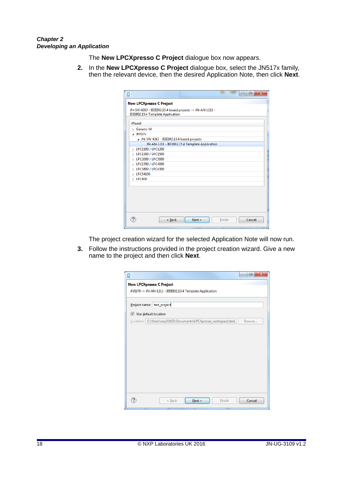The **New LPCXpresso C Project** dialogue box now appears.

**2.** In the **New LPCXpresso C Project** dialogue box, select the JN517x family, then the relevant device, then the desired Application Note, then click **Next**.

| ×                                                                                             | Ж<br>回           |
|-----------------------------------------------------------------------------------------------|------------------|
| <b>New LPCXpresso C Project</b>                                                               |                  |
| JN-SW-4263 - IEEE802.15.4 based projects -> JN-AN-1211 -<br>IEEE802.15.4 Template Application |                  |
| Wizard                                                                                        |                  |
| $\triangleright$ Generic-M                                                                    |                  |
| $\triangle$ JN517 $x$                                                                         |                  |
| JN-SW-4263 - IEEE802.15.4 based projects                                                      |                  |
| JN-AN-1211 - IEEE802.15.4 Template Application                                                |                  |
| ▷ LPC1100 / LPC1200                                                                           |                  |
| ⊳ LPC1300 / LPC1500                                                                           |                  |
| ▷ LPC2000 / LPC3000                                                                           |                  |
| ▷ LPC1700 / LPC4000                                                                           |                  |
| D LPC1800 / LPC4300                                                                           |                  |
| <b>LPC54100</b>                                                                               |                  |
| $\triangleright$ LPC800                                                                       |                  |
|                                                                                               |                  |
|                                                                                               |                  |
|                                                                                               |                  |
|                                                                                               |                  |
|                                                                                               |                  |
|                                                                                               |                  |
| Next<br>< Back                                                                                | Cancel<br>Finish |
|                                                                                               |                  |

The project creation wizard for the selected Application Note will now run.

**3.** Follow the instructions provided in the project creation wizard. Give a new name to the project and then click **Next**.

| X                    | $\overline{\mathbf{x}}$<br>回                                                                |
|----------------------|---------------------------------------------------------------------------------------------|
|                      | <b>New LPCXpresso C Project</b><br>JN5179 -> JN-AN-1211 - IEEE802.15.4 Template Application |
|                      | Project name: test_project                                                                  |
| Use default location |                                                                                             |
|                      | Location: C:\Users\nxp33193\Documents\LPCXpresso_workspace\test_<br>Browse                  |
|                      |                                                                                             |
|                      | Cancel<br>$<$ Back<br>Next ><br>Finish                                                      |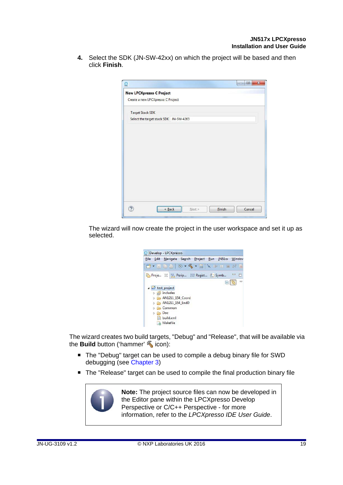**4.** Select the SDK (JN-SW-42xx) on which the project will be based and then click **Finish**.

| x                                      |                        | $\overline{\mathbf{z}}$<br>叵 |
|----------------------------------------|------------------------|------------------------------|
| <b>New LPCXpresso C Project</b>        |                        |                              |
| Create a new LPCXpresso C Project      |                        |                              |
| <b>Target Stack SDK</b>                |                        |                              |
| Select the target stack SDK JN-SW-4263 |                        |                              |
|                                        |                        |                              |
|                                        |                        |                              |
|                                        |                        |                              |
|                                        |                        |                              |
|                                        |                        |                              |
|                                        |                        |                              |
|                                        |                        |                              |
|                                        |                        |                              |
|                                        |                        |                              |
|                                        |                        |                              |
|                                        |                        |                              |
| 7                                      | <br>$Next$ ><br>< Back | <b>Finish</b><br>Cancel      |
|                                        |                        |                              |

The wizard will now create the project in the user workspace and set it up as selected.

| Develop - LPCXpresso                                                               |                                                                                                |  |                    |
|------------------------------------------------------------------------------------|------------------------------------------------------------------------------------------------|--|--------------------|
|                                                                                    | File Edit Navigate Search Project Run JN51xx Window                                            |  |                    |
|                                                                                    | <b>DYRGE &amp; F &amp; F &amp; D II B M F</b>                                                  |  |                    |
|                                                                                    | Proje 23 E, Perip Hill Regist K. Symb                                                          |  | 目                  |
| $\triangle$ test project<br><b>Ell</b> Includes<br><b>Common</b><br><b>Cas</b> Doc | AN1211_154_Coord<br>$\triangleright$ $\triangleright$ AN1211 154 EndD<br>build.xml<br>Makefile |  | $\bigtriangledown$ |

The wizard creates two build targets, "Debug" and "Release", that will be available via the **Build** button ('hammer' icon):

- The "Debug" target can be used to compile a debug binary file for SWD debugging (see [Chapter 3\)](#page-26-3)
- The "Release" target can be used to compile the final production binary file



**Note:** The project source files can now be developed in the Editor pane within the LPCXpresso Develop Perspective or C/C++ Perspective - for more information, refer to the *LPCXpresso IDE User Guide*.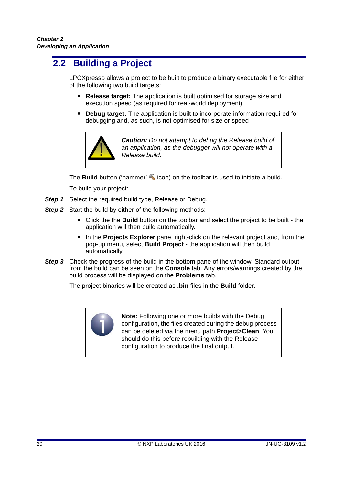# <span id="page-19-1"></span><span id="page-19-0"></span>**2.2 Building a Project**

LPCXpresso allows a project to be built to produce a binary executable file for either of the following two build targets:

- **Release target:** The application is built optimised for storage size and execution speed (as required for real-world deployment)
- **Debug target:** The application is built to incorporate information required for debugging and, as such, is not optimised for size or speed



*Caution: Do not attempt to debug the Release build of an application, as the debugger will not operate with a Release build.* 

The **Build** button ('hammer' icon) on the toolbar is used to initiate a build.

To build your project:

- **Step 1** Select the required build type, Release or Debug.
- **Step 2** Start the build by either of the following methods:
	- Click the the **Build** button on the toolbar and select the project to be built the application will then build automatically.
	- In the **Projects Explorer** pane, right-click on the relevant project and, from the pop-up menu, select **Build Project** - the application will then build automatically.
- **Step 3** Check the progress of the build in the bottom pane of the window. Standard output from the build can be seen on the **Console** tab. Any errors/warnings created by the build process will be displayed on the **Problems** tab.

The project binaries will be created as **.bin** files in the **Build** folder.



**Note:** Following one or more builds with the Debug configuration, the files created during the debug process can be deleted via the menu path **Project>Clean**. You should do this before rebuilding with the Release configuration to produce the final output.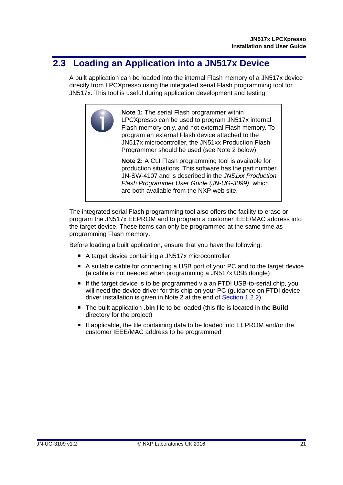### <span id="page-20-1"></span><span id="page-20-0"></span>**2.3 Loading an Application into a JN517x Device**

A built application can be loaded into the internal Flash memory of a JN517x device directly from LPCXpresso using the integrated serial Flash programming tool for JN517x. This tool is useful during application development and testing.



The integrated serial Flash programming tool also offers the facility to erase or program the JN517x EEPROM and to program a customer IEEE/MAC address into the target device. These items can only be programmed at the same time as programming Flash memory.

Before loading a built application, ensure that you have the following:

- A target device containing a JN517x microcontroller
- A suitable cable for connecting a USB port of your PC and to the target device (a cable is not needed when programming a JN517x USB dongle)
- If the target device is to be programmed via an FTDI USB-to-serial chip, you will need the device driver for this chip on your PC (guidance on FTDI device driver installation is given in Note 2 at the end of [Section 1.2.2\)](#page-8-1)
- The built application **.bin** file to be loaded (this file is located in the **Build** directory for the project)
- If applicable, the file containing data to be loaded into EEPROM and/or the customer IEEE/MAC address to be programmed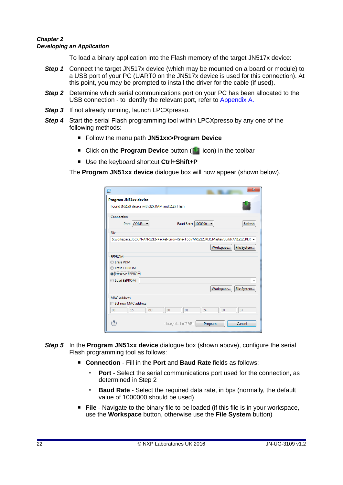#### *Chapter 2 Developing an Application*

To load a binary application into the Flash memory of the target JN517x device:

- **Step 1** Connect the target JN517x device (which may be mounted on a board or module) to a USB port of your PC (UART0 on the JN517x device is used for this connection). At this point, you may be prompted to install the driver for the cable (if used).
- **Step 2** Determine which serial communications port on your PC has been allocated to the USB connection - to identify the relevant port, refer to [Appendix A.](#page-30-4)
- *Step 3* If not already running, launch LPCXpresso.
- *Step 4* Start the serial Flash programming tool within LPCXpresso by any one of the following methods:
	- Follow the menu path **JN51xx>Program Device**
	- **Click on the Program Device** button (**i** icon) in the toolbar
	- Use the keyboard shortcut Ctrl+Shift+P

The **Program JN51xx device** dialogue box will now appear (shown below).

| $\overline{\mathbf{x}}$<br>X                                                                                                              |
|-------------------------------------------------------------------------------------------------------------------------------------------|
| Program JN51xx device<br>Found JN5179 device with 32k RAM and 512k Flash                                                                  |
| Connection<br>Port: COM5 -<br>Baud Rate: 1000000 -<br><b>Refresh</b>                                                                      |
| File                                                                                                                                      |
| \${workspace_loc:/JN-AN-1212-Packet-Error-Rate-Tool/AN1212_PER_Master/Build/AN1212_PER →                                                  |
| Workspace<br>File System                                                                                                                  |
| <b>EEPROM</b><br><b>Erase PDM</b><br><b>Erase EEPROM</b><br>Preserve EEPROM<br>$\circ$<br><b>Load EEPROM:</b><br>Workspace<br>File System |
| <b>MAC Address</b><br>Set new MAC address                                                                                                 |
| 37<br>15<br>8D<br>00 <sup>1</sup><br>24<br>01<br>E <sub>0</sub><br>00                                                                     |
| 3<br>Cancel<br>Library: 0.11 (r73263)<br>Program                                                                                          |

- *Step 5* In the **Program JN51xx device** dialogue box (shown above), configure the serial Flash programming tool as follows:
	- **Connection** Fill in the **Port** and **Baud Rate** fields as follows:
		- **Port** Select the serial communications port used for the connection, as determined in Step 2
		- **Baud Rate** Select the required data rate, in bps (normally, the default value of 1000000 should be used)
	- **File** Navigate to the binary file to be loaded (if this file is in your workspace, use the **Workspace** button, otherwise use the **File System** button)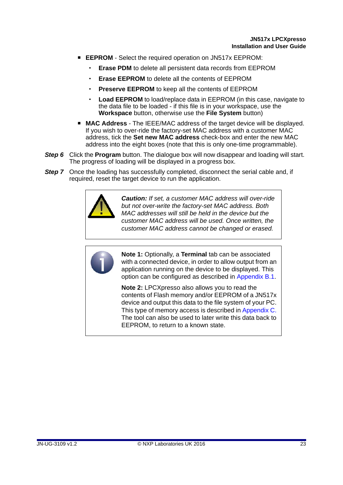- **EEPROM** Select the required operation on JN517x EEPROM:
	- **Erase PDM** to delete all persistent data records from EEPROM
	- **Erase EEPROM** to delete all the contents of EEPROM
	- **Preserve EEPROM** to keep all the contents of EEPROM
	- **Load EEPROM** to load/replace data in EEPROM (in this case, navigate to the data file to be loaded - if this file is in your workspace, use the **Workspace** button, otherwise use the **File System** button)
- **MAC Address** The IEEE/MAC address of the target device will be displayed. If you wish to over-ride the factory-set MAC address with a customer MAC address, tick the **Set new MAC address** check-box and enter the new MAC address into the eight boxes (note that this is only one-time programmable).
- *Step 6* Click the **Program** button. The dialogue box will now disappear and loading will start. The progress of loading will be displayed in a progress box.
- **Step 7** Once the loading has successfully completed, disconnect the serial cable and, if required, reset the target device to run the application.



*Caution: If set, a customer MAC address will over-ride but not over-write the factory-set MAC address. Both MAC addresses will still be held in the device but the customer MAC address will be used. Once written, the customer MAC address cannot be changed or erased.*



**Note 1:** Optionally, a **Terminal** tab can be associated with a connected device, in order to allow output from an application running on the device to be displayed. This option can be configured as described in [Appendix B.1.](#page-31-1)

**Note 2:** LPCXpresso also allows you to read the contents of Flash memory and/or EEPROM of a JN517x device and output this data to the file system of your PC. This type of memory access is described in [Appendix C.](#page-33-1) The tool can also be used to later write this data back to EEPROM, to return to a known state.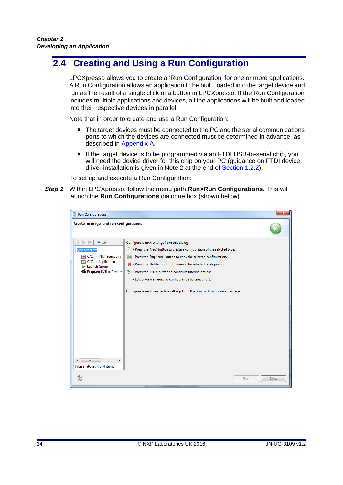# <span id="page-23-1"></span><span id="page-23-0"></span>**2.4 Creating and Using a Run Configuration**

LPCXpresso allows you to create a 'Run Configuration' for one or more applications. A Run Configuration allows an application to be built, loaded into the target device and run as the result of a single click of a button in LPCXpresso. If the Run Configuration includes multiple applications and devices, all the applications will be built and loaded into their respective devices in parallel.

Note that in order to create and use a Run Configuration:

- The target devices must be connected to the PC and the serial communications ports to which the devices are connected must be determined in advance, as described in [Appendix A.](#page-30-4)
- If the target device is to be programmed via an FTDI USB-to-serial chip, you will need the device driver for this chip on your PC (guidance on FTDI device driver installation is given in Note 2 at the end of [Section 1.2.2\)](#page-8-1).

To set up and execute a Run Configuration:

*Step 1* Within LPCXpresso, follow the menu path **Run>Run Configurations**. This will launch the **Run Configurations** dialogue box (shown below).

| $\overline{\mathbf{x}}$<br><b>Run Configurations</b><br>×                                                                                                                              |                                                                                                                                                                                                                                                                                                                                                                                                                                                                                       |       |
|----------------------------------------------------------------------------------------------------------------------------------------------------------------------------------------|---------------------------------------------------------------------------------------------------------------------------------------------------------------------------------------------------------------------------------------------------------------------------------------------------------------------------------------------------------------------------------------------------------------------------------------------------------------------------------------|-------|
| Create, manage, and run configurations                                                                                                                                                 |                                                                                                                                                                                                                                                                                                                                                                                                                                                                                       |       |
| <b>图 ※</b><br>日 草<br>type filter text<br>Fc C/C++ (NXP Semicondu<br>$\boxed{c}$ C/C++ Application<br>Launch Group<br>Program JN51xx Devices<br>m.<br>×.<br>Filter matched 4 of 4 items | Configure launch settings from this dialog:<br>$\Box$ - Press the 'New' button to create a configuration of the selected type.<br>Press the 'Duplicate' button to copy the selected configuration.<br>X - Press the 'Delete' button to remove the selected configuration.<br>Press the 'Filter' button to configure filtering options.<br>- Edit or view an existing configuration by selecting it.<br>Configure launch perspective settings from the 'Perspectives' preference page. |       |
|                                                                                                                                                                                        | Run                                                                                                                                                                                                                                                                                                                                                                                                                                                                                   | Close |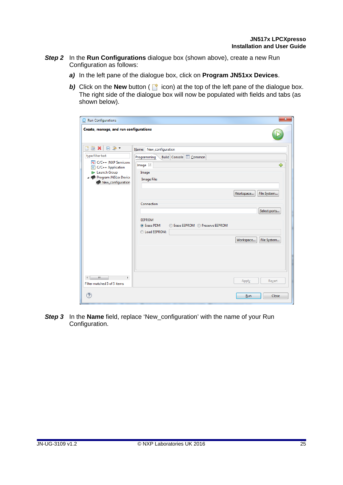- *Step 2* In the **Run Configurations** dialogue box (shown above), create a new Run Configuration as follows:
	- *a)* In the left pane of the dialogue box, click on **Program JN51xx Devices**.
	- *b)* Click on the **New** button ( $\rightarrow$  icon) at the top of the left pane of the dialogue box. The right side of the dialogue box will now be populated with fields and tabs (as shown below).

| $\mathbf{x}$<br><b>Run Configurations</b><br>$\mathbf x$                                                                                                          |                                                                                                                                                                                                                                                                                                |  |
|-------------------------------------------------------------------------------------------------------------------------------------------------------------------|------------------------------------------------------------------------------------------------------------------------------------------------------------------------------------------------------------------------------------------------------------------------------------------------|--|
| Create, manage, and run configurations                                                                                                                            |                                                                                                                                                                                                                                                                                                |  |
| <b>图 ※ 日 キャ</b><br>Ľ<br>type filter text<br>Fc C/C++ (NXP Semiconc<br>$\boxed{c}$ C/C++ Application<br>Launch Group<br>Program JN51xx Device<br>New configuration | Name: New_configuration<br>Build Console   Common<br>Programming<br>÷<br>Image $23$<br>Image<br><b>Image File:</b><br>Workspace<br>File System<br>Connection<br>Select ports<br><b>EEPROM</b><br>C Erase PDM<br>◯ Erase EEPROM ◯ Preserve EEPROM<br>C Load EEPROM:<br>Workspace<br>File System |  |
| Ш<br>$\overline{4}$<br>Þ.<br>Filter matched 5 of 5 items                                                                                                          | Revert<br>Apply                                                                                                                                                                                                                                                                                |  |
| ?                                                                                                                                                                 | Close<br>Run                                                                                                                                                                                                                                                                                   |  |

*Step 3* In the **Name** field, replace 'New\_configuration' with the name of your Run Configuration.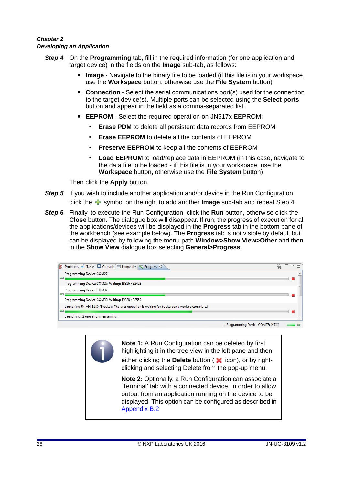#### *Chapter 2 Developing an Application*

- *Step 4* On the **Programming** tab, fill in the required information (for one application and target device) in the fields on the **Image** sub-tab, as follows:
	- **Image** Navigate to the binary file to be loaded (if this file is in your workspace, use the **Workspace** button, otherwise use the **File System** button)
	- **Connection** Select the serial communications port(s) used for the connection to the target device(s). Multiple ports can be selected using the **Select ports** button and appear in the field as a comma-separated list
	- **EEPROM** Select the required operation on JN517x EEPROM:
		- **Erase PDM** to delete all persistent data records from EEPROM
		- **Erase EEPROM** to delete all the contents of EEPROM
		- **Preserve EEPROM** to keep all the contents of EEPROM
		- **Load EEPROM** to load/replace data in EEPROM (in this case, navigate to the data file to be loaded - if this file is in your workspace, use the **Workspace** button, otherwise use the **File System** button)

Then click the **Apply** button.

- **Step 5** If you wish to include another application and/or device in the Run Configuration, click the symbol on the right to add another **Image** sub-tab and repeat Step 4.
- *Step 6* Finally, to execute the Run Configuration, click the **Run** button, otherwise click the **Close** button. The dialogue box will disappear. If run, the progress of execution for all the applications/devices will be displayed in the **Progress** tab in the bottom pane of the workbench (see example below). The **Progress** tab is not visible by default but can be displayed by following the menu path **Window>Show View>Other** and then in the **Show View** dialogue box selecting **General>Progress**.

| Problems <b>2</b> Tasks <b>E</b> Console <b>E</b> Properties <b>F</b> <sub>O</sub> Progress $\otimes$ |  |  |
|-------------------------------------------------------------------------------------------------------|--|--|
| Programming Device COM27                                                                              |  |  |
| œ<br>Programming Device COM27: Writing: 18816 / 33428                                                 |  |  |
| Programming Device COM32<br>-                                                                         |  |  |
| Programming Device COM32: Writing: 19328 / 32560                                                      |  |  |
| Launching JN-AN-1180 (Blocked: The user operation is waiting for background work to complete.)        |  |  |
| $-1$<br>Launching: 2 operations remaining.                                                            |  |  |
| Programming Device COM27: (45%)                                                                       |  |  |

**Note 1:** A Run Configuration can be deleted by first highlighting it in the tree view in the left pane and then either clicking the **Delete** button ( $\infty$  icon), or by rightclicking and selecting Delete from the pop-up menu.

**Note 2:** Optionally, a Run Configuration can associate a 'Terminal' tab with a connected device, in order to allow output from an application running on the device to be displayed. This option can be configured as described in [Appendix B.2](#page-32-1)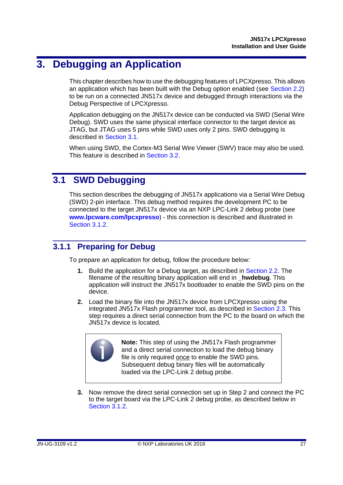# <span id="page-26-3"></span><span id="page-26-0"></span>**3. Debugging an Application**

This chapter describes how to use the debugging features of LPCXpresso. This allows an application which has been built with the Debug option enabled (see [Section 2.2\)](#page-19-1) to be run on a connected JN517x device and debugged through interactions via the Debug Perspective of LPCXpresso.

Application debugging on the JN517x device can be conducted via SWD (Serial Wire Debug). SWD uses the same physical interface connector to the target device as JTAG, but JTAG uses 5 pins while SWD uses only 2 pins. SWD debugging is described in [Section 3.1.](#page-26-1)

When using SWD, the Cortex-M3 Serial Wire Viewer (SWV) trace may also be used. This feature is described in [Section 3.2.](#page-29-0)

# <span id="page-26-1"></span>**3.1 SWD Debugging**

This section describes the debugging of JN517x applications via a Serial Wire Debug (SWD) 2-pin interface. This debug method requires the development PC to be connected to the target JN517x device via an NXP LPC-Link 2 debug probe (see **www.lpcware.com/lpcxpresso**) - this connection is described and illustrated in [Section 3.1.2](#page-27-0).

#### <span id="page-26-2"></span>**3.1.1 Preparing for Debug**

To prepare an application for debug, follow the procedure below:

- **1.** Build the application for a Debug target, as described in [Section 2.2](#page-19-1). The filename of the resulting binary application will end in **\_hwdebug**. This application will instruct the JN517x bootloader to enable the SWD pins on the device.
- **2.** Load the binary file into the JN517x device from LPCXpresso using the integrated JN517x Flash programmer tool, as described in [Section 2.3](#page-20-1). This step requires a direct serial connection from the PC to the board on which the JN517x device is located.



**Note:** This step of using the JN517x Flash programmer and a direct serial connection to load the debug binary file is only required once to enable the SWD pins. Subsequent debug binary files will be automatically loaded via the LPC-Link 2 debug probe.

**3.** Now remove the direct serial connection set up in Step 2 and connect the PC to the target board via the LPC-Link 2 debug probe, as described below in [Section 3.1.2](#page-27-0).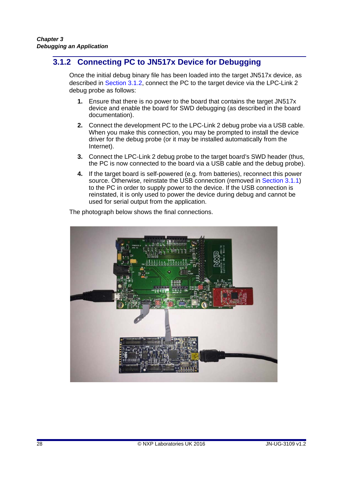### <span id="page-27-0"></span>**3.1.2 Connecting PC to JN517x Device for Debugging**

Once the initial debug binary file has been loaded into the target JN517x device, as described in [Section 3.1.2,](#page-27-0) connect the PC to the target device via the LPC-Link 2 debug probe as follows:

- **1.** Ensure that there is no power to the board that contains the target JN517x device and enable the board for SWD debugging (as described in the board documentation).
- **2.** Connect the development PC to the LPC-Link 2 debug probe via a USB cable. When you make this connection, you may be prompted to install the device driver for the debug probe (or it may be installed automatically from the Internet).
- **3.** Connect the LPC-Link 2 debug probe to the target board's SWD header (thus, the PC is now connected to the board via a USB cable and the debug probe).
- **4.** If the target board is self-powered (e.g. from batteries), reconnect this power source. Otherwise, reinstate the USB connection (removed in [Section 3.1.1](#page-26-2)) to the PC in order to supply power to the device. If the USB connection is reinstated, it is only used to power the device during debug and cannot be used for serial output from the application.



The photograph below shows the final connections.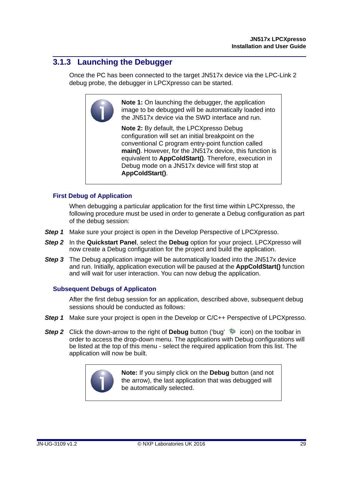### <span id="page-28-0"></span>**3.1.3 Launching the Debugger**

Once the PC has been connected to the target JN517x device via the LPC-Link 2 debug probe, the debugger in LPCXpresso can be started.

> **Note 1:** On launching the debugger, the application image to be debugged will be automatically loaded into the JN517x device via the SWD interface and run.

**Note 2:** By default, the LPCXpresso Debug configuration will set an initial breakpoint on the conventional C program entry-point function called **main()**. However, for the JN517x device, this function is equivalent to **AppColdStart()**. Therefore, execution in Debug mode on a JN517x device will first stop at **AppColdStart()**.

#### **First Debug of Application**

When debugging a particular application for the first time within LPCXpresso, the following procedure must be used in order to generate a Debug configuration as part of the debug session:

- **Step 1** Make sure your project is open in the Develop Perspective of LPCXpresso.
- *Step 2* In the **Quickstart Panel**, select the **Debug** option for your project. LPCXpresso will now create a Debug configuration for the project and build the application.
- **Step 3** The Debug application image will be automatically loaded into the JN517x device and run. Initially, application execution will be paused at the **AppColdStart()** function and will wait for user interaction. You can now debug the application.

#### **Subsequent Debugs of Applicaton**

After the first debug session for an application, described above, subsequent debug sessions should be conducted as follows:

- **Step 1** Make sure your project is open in the Develop or C/C++ Perspective of LPCXpresso.
- **Step 2** Click the down-arrow to the right of **Debug** button ('bug' Net icon) on the toolbar in order to access the drop-down menu. The applications with Debug configurations will be listed at the top of this menu - select the required application from this list. The application will now be built.



**Note:** If you simply click on the **Debug** button (and not the arrow), the last application that was debugged will be automatically selected.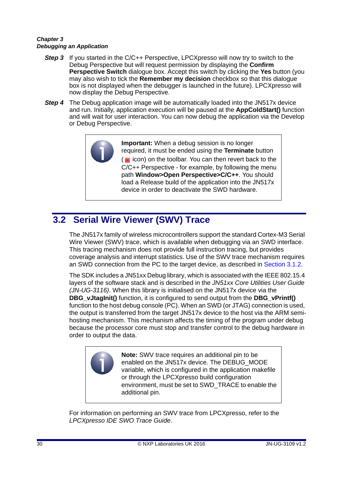#### *Chapter 3 Debugging an Application*

- **Step 3** If you started in the C/C++ Perspective, LPCXpresso will now try to switch to the Debug Perspective but will request permission by displaying the **Confirm Perspective Switch** dialogue box. Accept this switch by clicking the **Yes** button (you may also wish to tick the **Remember my decision** checkbox so that this dialogue box is not displayed when the debugger is launched in the future). LPCXpresso will now display the Debug Perspective.
- **Step 4** The Debug application image will be automatically loaded into the JN517x device and run. Initially, application execution will be paused at the **AppColdStart()** function and will wait for user interaction. You can now debug the application via the Develop or Debug Perspective.



**Important:** When a debug session is no longer required, it must be ended using the **Terminate** button ( $\Box$  icon) on the toolbar. You can then revert back to the C/C++ Perspective - for example, by following the menu path **Window>Open Perspective>C/C++**. You should load a Release build of the application into the JN517x device in order to deactivate the SWD hardware.

# <span id="page-29-0"></span>**3.2 Serial Wire Viewer (SWV) Trace**

The JN517x family of wireless microcontrollers support the standard Cortex-M3 Serial Wire Viewer (SWV) trace, which is available when debugging via an SWD interface. This tracing mechanism does not provide full instruction tracing, but provides coverage analysis and interrupt statistics. Use of the SWV trace mechanism requires an SWD connection from the PC to the target device, as described in [Section 3.1.2.](#page-27-0)

The SDK includes a JN51xx Debug library, which is associated with the IEEE 802.15.4 layers of the software stack and is described in the *JN51xx Core Utilities User Guide (JN-UG-3116)*. When this library is initialised on the JN517x device via the **DBG\_vJtagInit()** function, it is configured to send output from the **DBG\_vPrintf()** function to the host debug console (PC). When an SWD (or JTAG) connection is used, the output is transferred from the target JN517x device to the host via the ARM semihosting mechanism. This mechanism affects the timing of the program under debug because the processor core must stop and transfer control to the debug hardware in order to output the data.

> **Note:** SWV trace requires an additional pin to be enabled on the JN517x device. The DEBUG\_MODE variable, which is configured in the application makefile or through the LPCXpresso build configuration environment, must be set to SWD\_TRACE to enable the additional pin.

For information on performing an SWV trace from LPCXpresso, refer to the *LPCXpresso IDE SWO Trace Guide*.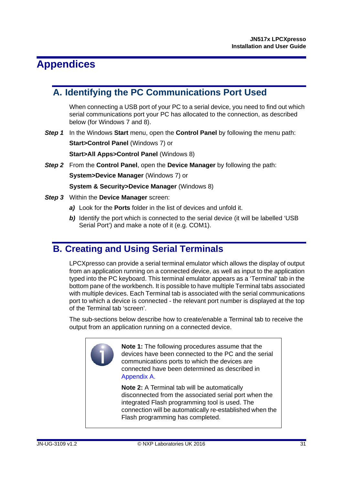# <span id="page-30-3"></span><span id="page-30-0"></span>**Appendices**

# <span id="page-30-4"></span><span id="page-30-1"></span>**A. Identifying the PC Communications Port Used**

When connecting a USB port of your PC to a serial device, you need to find out which serial communications port your PC has allocated to the connection, as described below (for Windows 7 and 8).

*Step 1* In the Windows **Start** menu, open the **Control Panel** by following the menu path: **Start>Control Panel** (Windows 7) or

**Start>All Apps>Control Panel** (Windows 8)

*Step 2* From the **Control Panel**, open the **Device Manager** by following the path: **System>Device Manager** (Windows 7) or

**System & Security>Device Manager** (Windows 8)

- *Step 3* Within the **Device Manager** screen:
	- *a)* Look for the **Ports** folder in the list of devices and unfold it.
	- **b**) Identify the port which is connected to the serial device (it will be labelled 'USB Serial Port') and make a note of it (e.g. COM1).

### <span id="page-30-2"></span>**B. Creating and Using Serial Terminals**

LPCXpresso can provide a serial terminal emulator which allows the display of output from an application running on a connected device, as well as input to the application typed into the PC keyboard. This terminal emulator appears as a 'Terminal' tab in the bottom pane of the workbench. It is possible to have multiple Terminal tabs associated with multiple devices. Each Terminal tab is associated with the serial communications port to which a device is connected - the relevant port number is displayed at the top of the Terminal tab 'screen'.

The sub-sections below describe how to create/enable a Terminal tab to receive the output from an application running on a connected device.

> **Note 1:** The following procedures assume that the devices have been connected to the PC and the serial communications ports to which the devices are connected have been determined as described in [Appendix A.](#page-30-1)

**Note 2:** A Terminal tab will be automatically disconnected from the associated serial port when the integrated Flash programming tool is used. The connection will be automatically re-established when the Flash programming has completed.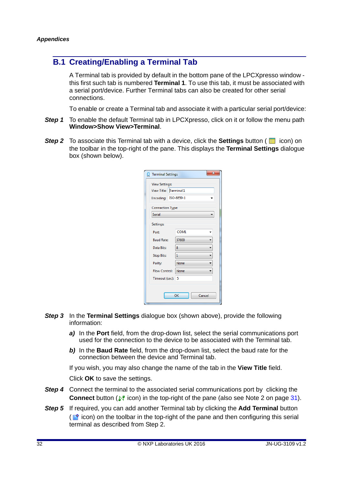### <span id="page-31-1"></span><span id="page-31-0"></span>**B.1 Creating/Enabling a Terminal Tab**

A Terminal tab is provided by default in the bottom pane of the LPCXpresso window this first such tab is numbered **Terminal 1**. To use this tab, it must be associated with a serial port/device. Further Terminal tabs can also be created for other serial connections.

To enable or create a Terminal tab and associate it with a particular serial port/device:

- **Step 1** To enable the default Terminal tab in LPCXpresso, click on it or follow the menu path **Window>Show View>Terminal**.
- **Step 2** To associate this Terminal tab with a device, click the **Settings** button ( **in** icon) on the toolbar in the top-right of the pane. This displays the **Terminal Settings** dialogue box (shown below).

| <b>X</b> Terminal Settings | $\overline{\mathbf{x}}$ |  |  |
|----------------------------|-------------------------|--|--|
| <b>View Settings:</b>      |                         |  |  |
|                            | View Title: Terminal 1  |  |  |
|                            | Encoding: ISO-8859-1    |  |  |
| <b>Connection Type:</b>    |                         |  |  |
| Serial                     |                         |  |  |
| Settings:                  |                         |  |  |
| Port:                      | COM1                    |  |  |
| <b>Baud Rate:</b>          | 57600                   |  |  |
| Data Bits:                 | 8                       |  |  |
| <b>Stop Bits:</b>          | $\mathbf{1}$            |  |  |
| Parity:                    | None                    |  |  |
| <b>Flow Control:</b>       | None                    |  |  |
| Timeout (sec): 5           |                         |  |  |
|                            |                         |  |  |
| OK<br>Cancel               |                         |  |  |

- *Step 3* In the **Terminal Settings** dialogue box (shown above), provide the following information:
	- *a)* In the **Port** field, from the drop-down list, select the serial communications port used for the connection to the device to be associated with the Terminal tab.
	- *b)* In the **Baud Rate** field, from the drop-down list, select the baud rate for the connection between the device and Terminal tab.

If you wish, you may also change the name of the tab in the **View Title** field.

Click **OK** to save the settings.

- *Step 4* Connect the terminal to the associated serial communications port by clicking the **Connect** button (**N** icon) in the top-right of the pane (also see Note 2 on page [31\)](#page-30-2).
- *Step 5* If required, you can add another Terminal tab by clicking the **Add Terminal** button ( $\mathbb{S}^{\bullet}$  icon) on the toolbar in the top-right of the pane and then configuring this serial terminal as described from Step 2.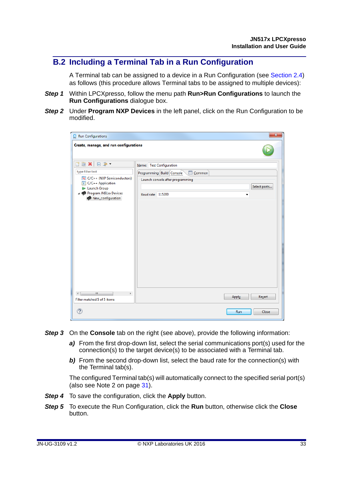#### <span id="page-32-1"></span><span id="page-32-0"></span>**B.2 Including a Terminal Tab in a Run Configuration**

A Terminal tab can be assigned to a device in a Run Configuration (see [Section 2.4\)](#page-23-1) as follows (this procedure allows Terminal tabs to be assigned to multiple devices):

- *Step 1* Within LPCXpresso, follow the menu path **Run>Run Configurations** to launch the **Run Configurations** dialogue box.
- *Step 2* Under **Program NXP Devices** in the left panel, click on the Run Configuration to be modified.

| <b>X</b> Run Configurations                                                                                                                                                           |                                                                                                                                   | $\overline{\mathbf{x}}$ |
|---------------------------------------------------------------------------------------------------------------------------------------------------------------------------------------|-----------------------------------------------------------------------------------------------------------------------------------|-------------------------|
| Create, manage, and run configurations                                                                                                                                                |                                                                                                                                   |                         |
| <b>图 ※ 日 キャ</b><br>Ľ<br>type filter text<br>$\overline{c}$ C/C++ (NXP Semiconductors)<br>$\boxed{c}$ C/C++ Application<br>Launch Group<br>Program JN51xx Devices<br>New_configuration | Name: Test Configuration<br>Programming   Build   Console<br>Common<br>Launch console after programming<br>Baud rate: 115200<br>٠ | Select ports            |
| $\blacktriangleleft$<br>$\mathbf{H}$ .<br>Þ.<br>Filter matched 5 of 5 items                                                                                                           | Apply                                                                                                                             | Revert                  |
| ?                                                                                                                                                                                     | Run                                                                                                                               | Close                   |

- **Step 3** On the **Console** tab on the right (see above), provide the following information:
	- *a)* From the first drop-down list, select the serial communications port(s) used for the connection(s) to the target device(s) to be associated with a Terminal tab.
	- **b)** From the second drop-down list, select the baud rate for the connection(s) with the Terminal tab(s).

The configured Terminal tab(s) will automatically connect to the specified serial port(s) (also see Note 2 on page [31](#page-30-2)).

- *Step 4* To save the configuration, click the **Apply** button.
- *Step 5* To execute the Run Configuration, click the **Run** button, otherwise click the **Close** button.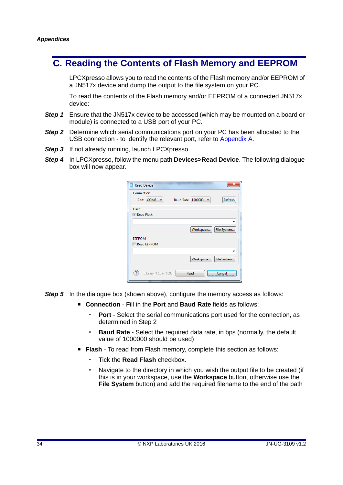### <span id="page-33-1"></span><span id="page-33-0"></span>**C. Reading the Contents of Flash Memory and EEPROM**

LPCXpresso allows you to read the contents of the Flash memory and/or EEPROM of a JN517x device and dump the output to the file system on your PC.

To read the contents of the Flash memory and/or EEPROM of a connected JN517x device:

- *Step 1* Ensure that the JN517x device to be accessed (which may be mounted on a board or module) is connected to a USB port of your PC.
- **Step 2** Determine which serial communications port on your PC has been allocated to the USB connection - to identify the relevant port, refer to [Appendix A.](#page-30-1)
- **Step 3** If not already running, launch LPCXpresso.
- *Step 4* In LPCXpresso, follow the menu path **Devices>Read Device**. The following dialogue box will now appear.

| $\overline{\mathbf{x}}$<br>X Read Device    |
|---------------------------------------------|
| Connection                                  |
| Port: COM6<br>Baud Rate: 1000000<br>Refresh |
| Flash                                       |
| Read Flash                                  |
|                                             |
| Workspace<br>File System                    |
| <b>EEPROM</b>                               |
| Read EEPROM                                 |
|                                             |
| Workspace<br>File System                    |
| Library: 0.10 (r70698)<br>Read<br>Cancel    |

**Step 5** In the dialogue box (shown above), configure the memory access as follows:

- **Connection** Fill in the **Port** and **Baud Rate** fields as follows:
	- **Port** Select the serial communications port used for the connection, as determined in Step 2
	- **Baud Rate** Select the required data rate, in bps (normally, the default value of 1000000 should be used)
- **Flash** To read from Flash memory, complete this section as follows:
	- Tick the **Read Flash** checkbox.
	- Navigate to the directory in which you wish the output file to be created (if this is in your workspace, use the **Workspace** button, otherwise use the **File System** button) and add the required filename to the end of the path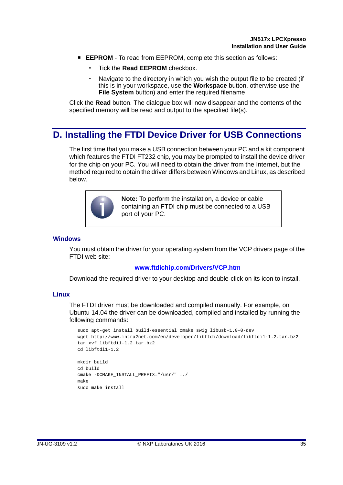- **EEPROM** To read from EEPROM, complete this section as follows:
	- Tick the **Read EEPROM** checkbox.
	- Navigate to the directory in which you wish the output file to be created (if this is in your workspace, use the **Workspace** button, otherwise use the **File System** button) and enter the required filename

Click the **Read** button. The dialogue box will now disappear and the contents of the specified memory will be read and output to the specified file(s).

### <span id="page-34-1"></span><span id="page-34-0"></span>**D. Installing the FTDI Device Driver for USB Connections**

The first time that you make a USB connection between your PC and a kit component which features the FTDI FT232 chip, you may be prompted to install the device driver for the chip on your PC. You will need to obtain the driver from the Internet, but the method required to obtain the driver differs between Windows and Linux, as described below.



**Note:** To perform the installation, a device or cable containing an FTDI chip must be connected to a USB port of your PC.

#### **Windows**

You must obtain the driver for your operating system from the VCP drivers page of the FTDI web site:

#### **www.ftdichip.com/Drivers/VCP.htm**

Download the required driver to your desktop and double-click on its icon to install.

#### **Linux**

The FTDI driver must be downloaded and compiled manually. For example, on Ubuntu 14.04 the driver can be downloaded, compiled and installed by running the following commands:

```
sudo apt-get install build-essential cmake swig libusb-1.0-0-dev
wget http://www.intra2net.com/en/developer/libftdi/download/libftdi1-1.2.tar.bz2
tar xvf libftdi1-1.2.tar.bz2
cd libftdi1-1.2
mkdir build
cd build
cmake -DCMAKE_INSTALL_PREFIX="/usr/" ../
make
sudo make install
```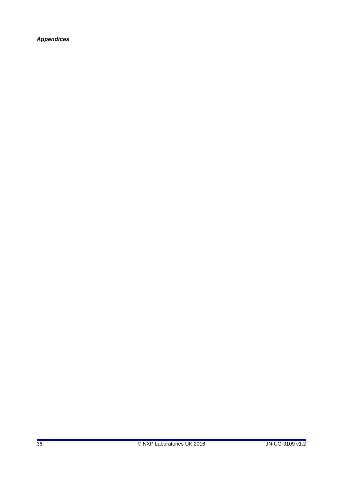*Appendices*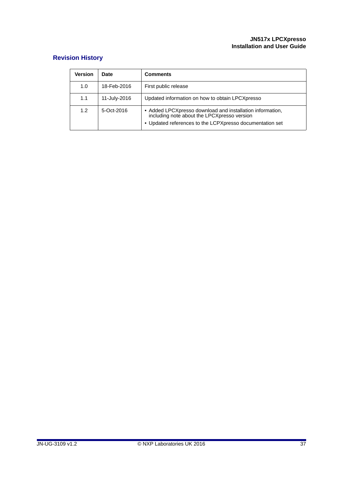#### **Revision History**

| <b>Version</b> | <b>Date</b>    | <b>Comments</b>                                                                                                                                                      |
|----------------|----------------|----------------------------------------------------------------------------------------------------------------------------------------------------------------------|
| 1.0            | 18-Feb-2016    | First public release                                                                                                                                                 |
| 1.1            | 11-July-2016   | Updated information on how to obtain LPCXpresso                                                                                                                      |
| 1.2            | $5 - Oct-2016$ | • Added LPCXpresso download and installation information,<br>including note about the LPCXpresso version<br>• Updated references to the LCPXpresso documentation set |